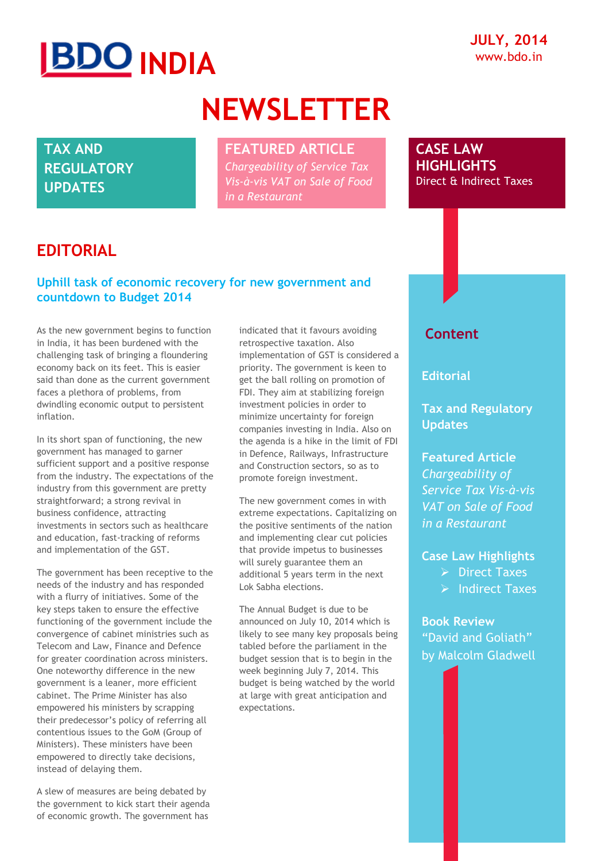# **IBDO INDIA**

## **NEWSLETTER**

**TAX AND REGULATORY UPDATES**

### **FEATURED ARTICLE**

*Chargeability of Service Tax Vis-à-vis VAT on Sale of Food in a Restaurant*

**CASE LAW HIGHLIGHTS**  Direct & Indirect Taxes

### **EDITORIAL**

### **Uphill task of economic recovery for new government and countdown to Budget 2014**

As the new government begins to function in India, it has been burdened with the challenging task of bringing a floundering economy back on its feet. This is easier said than done as the current government faces a plethora of problems, from dwindling economic output to persistent inflation.

In its short span of functioning, the new government has managed to garner sufficient support and a positive response from the industry. The expectations of the industry from this government are pretty straightforward; a strong revival in business confidence, attracting investments in sectors such as healthcare and education, fast-tracking of reforms and implementation of the GST.

The government has been receptive to the needs of the industry and has responded with a flurry of initiatives. Some of the key steps taken to ensure the effective functioning of the government include the convergence of cabinet ministries such as Telecom and Law, Finance and Defence for greater coordination across ministers. One noteworthy difference in the new government is a leaner, more efficient cabinet. The Prime Minister has also empowered his ministers by scrapping their predecessor"s policy of referring all contentious issues to the GoM (Group of Ministers). These ministers have been empowered to directly take decisions, instead of delaying them.

A slew of measures are being debated by the government to kick start their agenda of economic growth. The government has

indicated that it favours avoiding retrospective taxation. Also implementation of GST is considered a priority. The government is keen to get the ball rolling on promotion of FDI. They aim at stabilizing foreign investment policies in order to minimize uncertainty for foreign companies investing in India. Also on the agenda is a hike in the limit of FDI in Defence, Railways, Infrastructure and Construction sectors, so as to promote foreign investment.

The new government comes in with extreme expectations. Capitalizing on the positive sentiments of the nation and implementing clear cut policies that provide impetus to businesses will surely guarantee them an additional 5 years term in the next Lok Sabha elections.

The Annual Budget is due to be announced on July 10, 2014 which is likely to see many key proposals being tabled before the parliament in the budget session that is to begin in the week beginning July 7, 2014. This budget is being watched by the world at large with great anticipation and expectations.

### **Content**

**Editorial**

**Tax and Regulatory Updates**

**Featured Article** *Chargeability of Service Tax Vis-à-vis VAT on Sale of Food in a Restaurant*

### **Case Law Highlights**

- $\triangleright$  Direct Taxes
- $\triangleright$  Indirect Taxes

**Book Review** "David and Goliath" by Malcolm Gladwell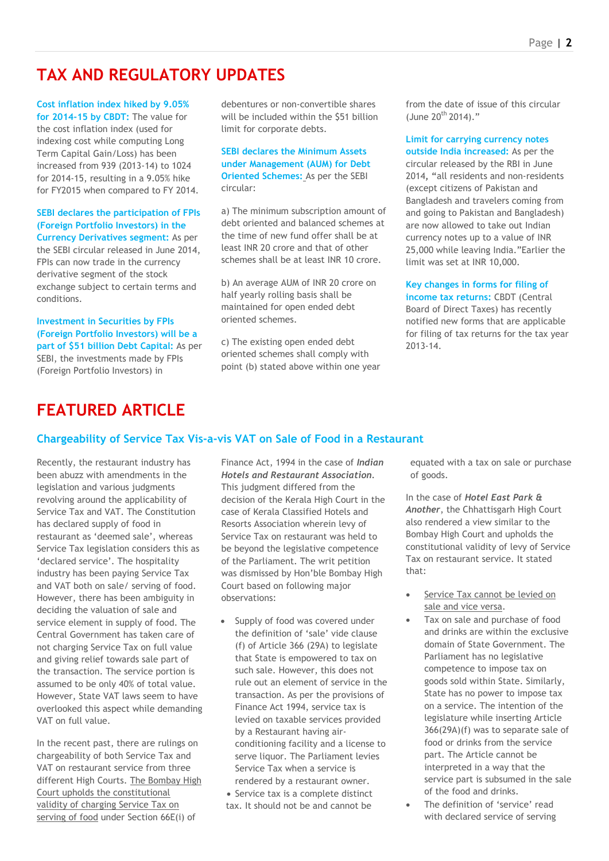### **TAX AND REGULATORY UPDATES**

**Cost inflation index hiked by 9.05% for 2014-15 by CBDT:** The value for the cost inflation index (used for indexing cost while computing Long Term Capital Gain/Loss) has been increased from 939 (2013-14) to 1024 for 2014-15, resulting in a 9.05% hike for FY2015 when compared to FY 2014.

### **SEBI declares the participation of FPIs (Foreign Portfolio Investors) in the Currency Derivatives segment:** As per the SEBI circular released in June 2014, FPIs can now trade in the currency derivative segment of the stock exchange subject to certain terms and

**Investment in Securities by FPIs (Foreign Portfolio Investors) will be a part of \$51 billion Debt Capital:** As per SEBI, the investments made by FPIs (Foreign Portfolio Investors) in

conditions.

debentures or non-convertible shares will be included within the \$51 billion limit for corporate debts.

**SEBI declares the Minimum Assets under Management (AUM) for Debt Oriented Schemes:** As per the SEBI circular:

a) The minimum subscription amount of debt oriented and balanced schemes at the time of new fund offer shall be at least INR 20 crore and that of other schemes shall be at least INR 10 crore.

b) An average AUM of INR 20 crore on half yearly rolling basis shall be maintained for open ended debt oriented schemes.

c) The existing open ended debt oriented schemes shall comply with point (b) stated above within one year from the date of issue of this circular (June  $20^{th}$  2014)."

**Limit for carrying currency notes** 

**outside India increased:** As per the circular released by the RBI in June 2014**, "**all residents and non-residents (except citizens of Pakistan and Bangladesh and travelers coming from and going to Pakistan and Bangladesh) are now allowed to take out Indian currency notes up to a value of INR 25,000 while leaving India."Earlier the limit was set at INR 10,000.

**Key changes in forms for filing of** 

**income tax returns:** CBDT (Central Board of Direct Taxes) has recently notified new forms that are applicable for filing of tax returns for the tax year 2013-14.

### **FFATURED ARTICLE**

### **Chargeability of Service Tax Vis-a-vis VAT on Sale of Food in a Restaurant**

Recently, the restaurant industry has been abuzz with amendments in the legislation and various judgments revolving around the applicability of Service Tax and VAT. The Constitution has declared supply of food in restaurant as "deemed sale", whereas Service Tax legislation considers this as 'declared service'. The hospitality industry has been paying Service Tax and VAT both on sale/ serving of food. However, there has been ambiguity in deciding the valuation of sale and service element in supply of food. The Central Government has taken care of not charging Service Tax on full value and giving relief towards sale part of the transaction. The service portion is assumed to be only 40% of total value. However, State VAT laws seem to have overlooked this aspect while demanding VAT on full value.

In the recent past, there are rulings on chargeability of both Service Tax and VAT on restaurant service from three different High Courts. The Bombay High Court upholds the constitutional validity of charging Service Tax on serving of food under Section 66E(i) of

Finance Act, 1994 in the case of *Indian Hotels and Restaurant Association.* This judgment differed from the decision of the Kerala High Court in the case of Kerala Classified Hotels and Resorts Association wherein levy of Service Tax on restaurant was held to be beyond the legislative competence of the Parliament. The writ petition was dismissed by Hon"ble Bombay High Court based on following major observations:

- Supply of food was covered under the definition of 'sale' vide clause (f) of Article 366 (29A) to legislate that State is empowered to tax on such sale. However, this does not rule out an element of service in the transaction. As per the provisions of Finance Act 1994, service tax is levied on taxable services provided by a Restaurant having airconditioning facility and a license to serve liquor. The Parliament levies Service Tax when a service is rendered by a restaurant owner.
- Service tax is a complete distinct tax. It should not be and cannot be

equated with a tax on sale or purchase of goods.

In the case of *Hotel East Park & Another*, the Chhattisgarh High Court also rendered a view similar to the Bombay High Court and upholds the constitutional validity of levy of Service Tax on restaurant service. It stated that:

- Service Tax cannot be levied on sale and vice versa.
- Tax on sale and purchase of food and drinks are within the exclusive domain of State Government. The Parliament has no legislative competence to impose tax on goods sold within State. Similarly, State has no power to impose tax on a service. The intention of the legislature while inserting Article 366(29A)(f) was to separate sale of food or drinks from the service part. The Article cannot be interpreted in a way that the service part is subsumed in the sale of the food and drinks.
- The definition of 'service' read with declared service of serving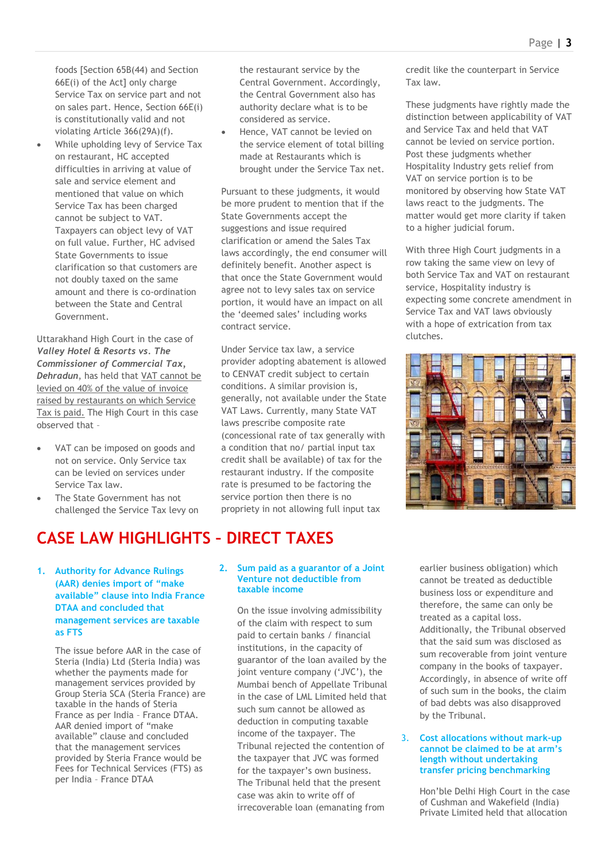foods [Section 65B(44) and Section 66E(i) of the Act] only charge Service Tax on service part and not on sales part. Hence, Section 66E(i) is constitutionally valid and not violating Article 366(29A)(f).

 While upholding levy of Service Tax on restaurant, HC accepted difficulties in arriving at value of sale and service element and mentioned that value on which Service Tax has been charged cannot be subject to VAT. Taxpayers can object levy of VAT on full value. Further, HC advised State Governments to issue clarification so that customers are not doubly taxed on the same amount and there is co-ordination between the State and Central Government.

Uttarakhand High Court in the case of *Valley Hotel & Resorts vs. The Commissioner of Commercial Tax, Dehradun*, has held that VAT cannot be levied on 40% of the value of invoice raised by restaurants on which Service Tax is paid. The High Court in this case observed that –

- VAT can be imposed on goods and not on service. Only Service tax can be levied on services under Service Tax law.
- The State Government has not challenged the Service Tax levy on

### **CASE LAW HIGHLIGHTS – DIRECT TAXES**

**1. Authority for Advance Rulings (AAR) denies import of "make available" clause into India France DTAA and concluded that management services are taxable as FTS**

> The issue before AAR in the case of Steria (India) Ltd (Steria India) was whether the payments made for management services provided by Group Steria SCA (Steria France) are taxable in the hands of Steria France as per India – France DTAA. AAR denied import of "make available" clause and concluded that the management services provided by Steria France would be Fees for Technical Services (FTS) as per India – France DTAA

the restaurant service by the Central Government. Accordingly, the Central Government also has authority declare what is to be considered as service.

 Hence, VAT cannot be levied on the service element of total billing made at Restaurants which is brought under the Service Tax net.

Pursuant to these judgments, it would be more prudent to mention that if the State Governments accept the suggestions and issue required clarification or amend the Sales Tax laws accordingly, the end consumer will definitely benefit. Another aspect is that once the State Government would agree not to levy sales tax on service portion, it would have an impact on all the 'deemed sales' including works contract service.

Under Service tax law, a service provider adopting abatement is allowed to CENVAT credit subject to certain conditions. A similar provision is, generally, not available under the State VAT Laws. Currently, many State VAT laws prescribe composite rate (concessional rate of tax generally with a condition that no/ partial input tax credit shall be available) of tax for the restaurant industry. If the composite rate is presumed to be factoring the service portion then there is no propriety in not allowing full input tax

#### **2. Sum paid as a guarantor of a Joint Venture not deductible from taxable income**

On the issue involving admissibility of the claim with respect to sum paid to certain banks / financial institutions, in the capacity of guarantor of the loan availed by the joint venture company ('JVC'), the Mumbai bench of Appellate Tribunal in the case of LML Limited held that such sum cannot be allowed as deduction in computing taxable income of the taxpayer. The Tribunal rejected the contention of the taxpayer that JVC was formed for the taxpayer's own business. The Tribunal held that the present case was akin to write off of irrecoverable loan (emanating from

credit like the counterpart in Service Tax law.

These judgments have rightly made the distinction between applicability of VAT and Service Tax and held that VAT cannot be levied on service portion. Post these judgments whether Hospitality Industry gets relief from VAT on service portion is to be monitored by observing how State VAT laws react to the judgments. The matter would get more clarity if taken to a higher judicial forum.

With three High Court judgments in a row taking the same view on levy of both Service Tax and VAT on restaurant service, Hospitality industry is expecting some concrete amendment in Service Tax and VAT laws obviously with a hope of extrication from tax clutches.



earlier business obligation) which cannot be treated as deductible business loss or expenditure and therefore, the same can only be treated as a capital loss. Additionally, the Tribunal observed that the said sum was disclosed as sum recoverable from joint venture company in the books of taxpayer. Accordingly, in absence of write off of such sum in the books, the claim of bad debts was also disapproved by the Tribunal.

#### 3. **Cost allocations without mark-up cannot be claimed to be at arm"s length without undertaking transfer pricing benchmarking**

Hon"ble Delhi High Court in the case of Cushman and Wakefield (India) Private Limited held that allocation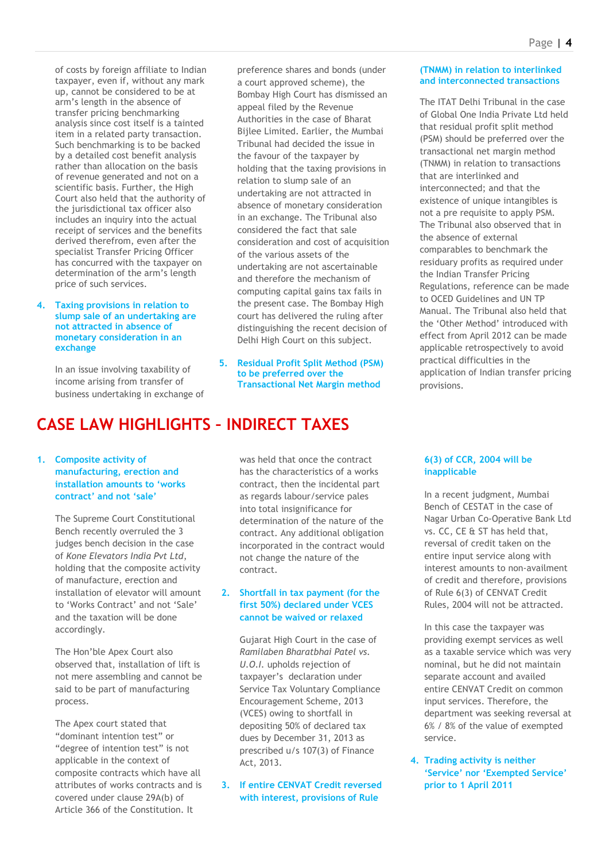of costs by foreign affiliate to Indian taxpayer, even if, without any mark up, cannot be considered to be at arm"s length in the absence of transfer pricing benchmarking analysis since cost itself is a tainted item in a related party transaction. Such benchmarking is to be backed by a detailed cost benefit analysis rather than allocation on the basis of revenue generated and not on a scientific basis. Further, the High Court also held that the authority of the jurisdictional tax officer also includes an inquiry into the actual receipt of services and the benefits derived therefrom, even after the specialist Transfer Pricing Officer has concurred with the taxpayer on determination of the arm"s length price of such services.

#### **4. Taxing provisions in relation to slump sale of an undertaking are not attracted in absence of monetary consideration in an exchange**

In an issue involving taxability of income arising from transfer of business undertaking in exchange of preference shares and bonds (under a court approved scheme), the Bombay High Court has dismissed an appeal filed by the Revenue Authorities in the case of Bharat Bijlee Limited. Earlier, the Mumbai Tribunal had decided the issue in the favour of the taxpayer by holding that the taxing provisions in relation to slump sale of an undertaking are not attracted in absence of monetary consideration in an exchange. The Tribunal also considered the fact that sale consideration and cost of acquisition of the various assets of the undertaking are not ascertainable and therefore the mechanism of computing capital gains tax fails in the present case. The Bombay High court has delivered the ruling after distinguishing the recent decision of Delhi High Court on this subject.

**5. Residual Profit Split Method (PSM) to be preferred over the Transactional Net Margin method** 

### **CASE LAW HIGHLIGHTS – INDIRECT TAXES**

### **1. Composite activity of manufacturing, erection and installation amounts to "works contract" and not "sale"**

The Supreme Court Constitutional Bench recently overruled the 3 judges bench decision in the case of *Kone Elevators India Pvt Ltd*, holding that the composite activity of manufacture, erection and installation of elevator will amount to 'Works Contract' and not 'Sale' and the taxation will be done accordingly.

The Hon"ble Apex Court also observed that, installation of lift is not mere assembling and cannot be said to be part of manufacturing process.

The Apex court stated that "dominant intention test" or "degree of intention test" is not applicable in the context of composite contracts which have all attributes of works contracts and is covered under clause 29A(b) of Article 366 of the Constitution. It

was held that once the contract has the characteristics of a works contract, then the incidental part as regards labour/service pales into total insignificance for determination of the nature of the contract. Any additional obligation incorporated in the contract would not change the nature of the contract.

### **2. Shortfall in tax payment (for the first 50%) declared under VCES cannot be waived or relaxed**

Gujarat High Court in the case of *Ramilaben Bharatbhai Patel vs. U.O.I.* upholds rejection of taxpayer"s declaration under Service Tax Voluntary Compliance Encouragement Scheme, 2013 (VCES) owing to shortfall in depositing 50% of declared tax dues by December 31, 2013 as prescribed u/s 107(3) of Finance Act, 2013.

**3. If entire CENVAT Credit reversed with interest, provisions of Rule** 

#### **(TNMM) in relation to interlinked and interconnected transactions**

[The ITAT Delhi Tribunal in the case](mailto:bhavinshah@bdo.in)  [of Global One India Private Ltd held](mailto:bhavinshah@bdo.in)  [that residual profit split method](mailto:bhavinshah@bdo.in)  [\(PSM\) should be preferred over the](mailto:bhavinshah@bdo.in)  [transactional net margin method](mailto:bhavinshah@bdo.in)  [\(TNMM\) in relation to transactions](mailto:bhavinshah@bdo.in)  that are [interlinked and](mailto:bhavinshah@bdo.in)  [interconnected; and that the](mailto:bhavinshah@bdo.in)  [existence of unique intangibles is](mailto:bhavinshah@bdo.in)  [not a pre requisite to apply PSM.](mailto:bhavinshah@bdo.in)  [The Tribunal also observed that in](mailto:bhavinshah@bdo.in)  [the absence of external](mailto:bhavinshah@bdo.in)  [comparables to benchmark the](mailto:bhavinshah@bdo.in)  [residuary profits as required under](mailto:bhavinshah@bdo.in)  [the Indian Transfer Pricing](mailto:bhavinshah@bdo.in)  [Regulations, reference can be made](mailto:bhavinshah@bdo.in)  [to OCED Guidelines and UN TP](mailto:bhavinshah@bdo.in)  [Manual. The Tribunal also held that](mailto:bhavinshah@bdo.in)  [the "Other Method" introduced with](mailto:bhavinshah@bdo.in)  [effect from April 2012 can be made](mailto:bhavinshah@bdo.in)  [applicable retrospectively to avoid](mailto:bhavinshah@bdo.in)  [practical difficulties in the](mailto:bhavinshah@bdo.in)  [application of Indian transfer pricing](mailto:bhavinshah@bdo.in)  [provisions.](mailto:bhavinshah@bdo.in)

#### **6(3) of CCR, 2004 will be inapplicable**

In a recent judgment, Mumbai Bench of CESTAT in the case of Nagar Urban Co-Operative Bank Ltd vs. CC, CE & ST has held that, reversal of credit taken on the entire input service along with interest amounts to non-availment of credit and therefore, provisions of Rule 6(3) of CENVAT Credit Rules, 2004 will not be attracted.

In this case the taxpayer was providing exempt services as well as a taxable service which was very nominal, but he did not maintain separate account and availed entire CENVAT Credit on common input services. Therefore, the department was seeking reversal at 6% / 8% of the value of exempted service.

**4. Trading activity is neither "Service" nor "Exempted Service" prior to 1 April 2011**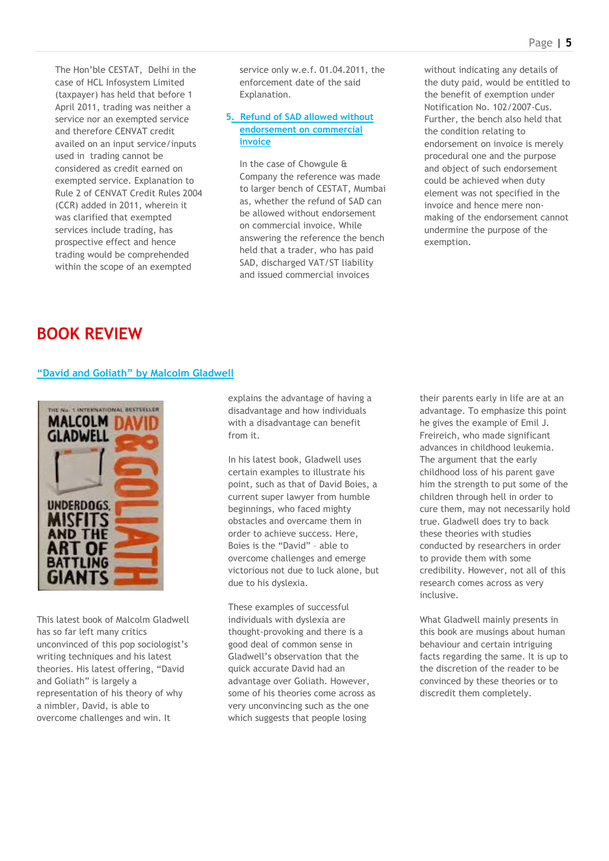The Hon"ble CESTAT, Delhi in the case of HCL Infosystem Limited (taxpayer) has held that before 1 April 2011, trading was neither a service nor an exempted service and therefore CENVAT credit availed on an input service/inputs used in trading cannot be considered as credit earned on exempted service. Explanation to Rule 2 of CENVAT Credit Rules 2004 (CCR) added in 2011, wherein it was clarified that exempted services include trading, has prospective effect and hence trading would be comprehended within the scope of an exempted

service only w.e.f. 01.04.2011, the enforcement date of the said Explanation.

### **5. Refund of SAD allowed without endorsement on commercial invoice**

In the case of Chowgule & Company the reference was made to larger bench of CESTAT, Mumbai as, whether the refund of SAD can be allowed without endorsement on commercial invoice. While answering the reference the bench held that a trader, who has paid SAD, discharged VAT/ST liability and issued commercial invoices

without indicating any details of the duty paid, would be entitled to the benefit of exemption under Notification No. 102/2007-Cus. Further, the bench also held that the condition relating to endorsement on invoice is merely procedural one and the purpose and object of such endorsement could be achieved when duty element was not specified in the invoice and hence mere nonmaking of the endorsement cannot undermine the purpose of the exemption.

### **BOOK REVIEW**

### **"David and Goliath" by Malcolm Gladwell**



This latest book of Malcolm Gladwell has so far left many critics unconvinced of this pop sociologist"s writing techniques and his latest theories. His latest offering, "David and Goliath" is largely a representation of his theory of why a nimbler, David, is able to overcome challenges and win. It

explains the advantage of having a disadvantage and how individuals with a disadvantage can benefit from it.

In his latest book, Gladwell uses certain examples to illustrate his point, such as that of David Boies, a current super lawyer from humble beginnings, who faced mighty obstacles and overcame them in order to achieve success. Here, Boies is the "David" – able to overcome challenges and emerge victorious not due to luck alone, but due to his dyslexia.

These examples of successful individuals with dyslexia are thought-provoking and there is a good deal of common sense in Gladwell"s observation that the quick accurate David had an advantage over Goliath. However, some of his theories come across as very unconvincing such as the one which suggests that people losing

their parents early in life are at an advantage. To emphasize this point he gives the example of Emil J. Freireich, who made significant advances in childhood leukemia. The argument that the early childhood loss of his parent gave him the strength to put some of the children through hell in order to cure them, may not necessarily hold true. Gladwell does try to back these theories with studies conducted by researchers in order to provide them with some credibility. However, not all of this research comes across as very inclusive.

What Gladwell mainly presents in this book are musings about human behaviour and certain intriguing facts regarding the same. It is up to the discretion of the reader to be convinced by these theories or to discredit them completely.